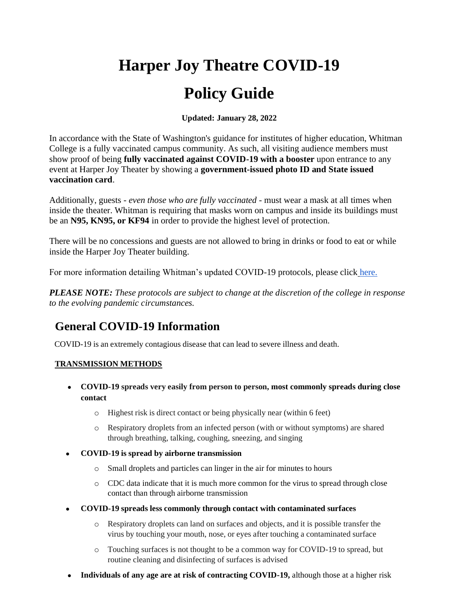# **Harper Joy Theatre COVID-19 Policy Guide**

**Updated: January 28, 2022**

In accordance with the State of Washington's guidance for institutes of higher education, Whitman College is a fully vaccinated campus community. As such, all visiting audience members must show proof of being **fully vaccinated against COVID-19 with a booster** upon entrance to any event at Harper Joy Theater by showing a **government-issued photo ID and State issued vaccination card**.

Additionally, guests - *even those who are fully vaccinated* - must wear a mask at all times when inside the theater. Whitman is requiring that masks worn on campus and inside its buildings must be an **N95, KN95, or KF94** in order to provide the highest level of protection.

There will be no concessions and guests are not allowed to bring in drinks or food to eat or while inside the Harper Joy Theater building.

For more information detailing Whitman's updated COVID-19 protocols, please click [here.](https://www.whitman.edu/covid-dashboard/updates/spring-2022-covid-19-protocols)

*PLEASE NOTE: These protocols are subject to change at the discretion of the college in response to the evolving pandemic circumstances.*

# **General COVID-19 Information**

COVID-19 is an extremely contagious disease that can lead to severe illness and death.

### **TRANSMISSION METHODS**

- **COVID-19 spreads very easily from person to person, most commonly spreads during close contact**
	- o Highest risk is direct contact or being physically near (within 6 feet)
	- o Respiratory droplets from an infected person (with or without symptoms) are shared through breathing, talking, coughing, sneezing, and singing
- **COVID-19 is spread by airborne transmission**
	- o Small droplets and particles can linger in the air for minutes to hours
	- o CDC data indicate that it is much more common for the virus to spread through close contact than through airborne transmission
- **COVID-19 spreads less commonly through contact with contaminated surfaces**
	- o Respiratory droplets can land on surfaces and objects, and it is possible transfer the virus by touching your mouth, nose, or eyes after touching a contaminated surface
	- o Touching surfaces is not thought to be a common way for COVID-19 to spread, but routine cleaning and disinfecting of surfaces is advised
- **Individuals of any age are at risk of contracting COVID-19, although those at a higher risk**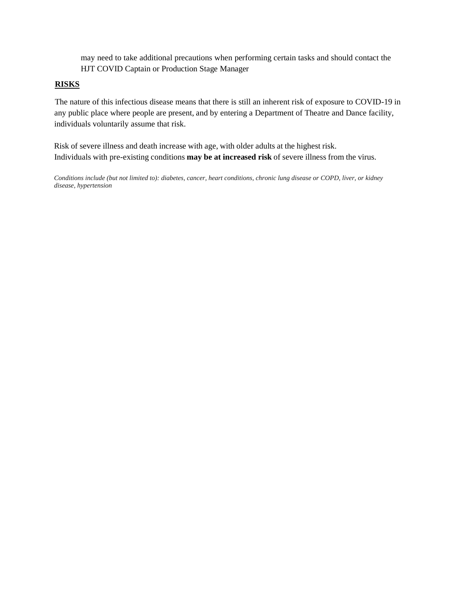may need to take additional precautions when performing certain tasks and should contact the HJT COVID Captain or Production Stage Manager

### **RISKS**

The nature of this infectious disease means that there is still an inherent risk of exposure to COVID-19 in any public place where people are present, and by entering a Department of Theatre and Dance facility, individuals voluntarily assume that risk.

Risk of severe illness and death increase with age, with older adults at the highest risk. Individuals with pre-existing conditions **may be at increased risk** of severe illness from the virus.

*Conditions include (but not limited to): diabetes, cancer, heart conditions, chronic lung disease or COPD, liver, or kidney disease, hypertension*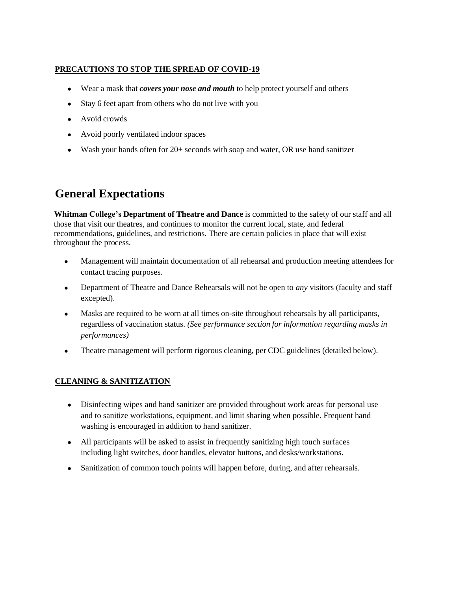### **PRECAUTIONS TO STOP THE SPREAD OF COVID-19**

- Wear a mask that *covers your nose and mouth* to help protect yourself and others
- Stay 6 feet apart from others who do not live with you
- Avoid crowds
- Avoid poorly ventilated indoor spaces
- Wash your hands often for 20+ seconds with soap and water, OR use hand sanitizer

# **General Expectations**

**Whitman College's Department of Theatre and Dance** is committed to the safety of our staff and all those that visit our theatres, and continues to monitor the current local, state, and federal recommendations, guidelines, and restrictions. There are certain policies in place that will exist throughout the process.

- Management will maintain documentation of all rehearsal and production meeting attendees for contact tracing purposes.
- Department of Theatre and Dance Rehearsals will not be open to *any* visitors (faculty and staff excepted).
- Masks are required to be worn at all times on-site throughout rehearsals by all participants, regardless of vaccination status. *(See performance section for information regarding masks in performances)*
- Theatre management will perform rigorous cleaning, per CDC guidelines (detailed below).

# **CLEANING & SANITIZATION**

- Disinfecting wipes and hand sanitizer are provided throughout work areas for personal use and to sanitize workstations, equipment, and limit sharing when possible. Frequent hand washing is encouraged in addition to hand sanitizer.
- All participants will be asked to assist in frequently sanitizing high touch surfaces including light switches, door handles, elevator buttons, and desks/workstations.
- Sanitization of common touch points will happen before, during, and after rehearsals.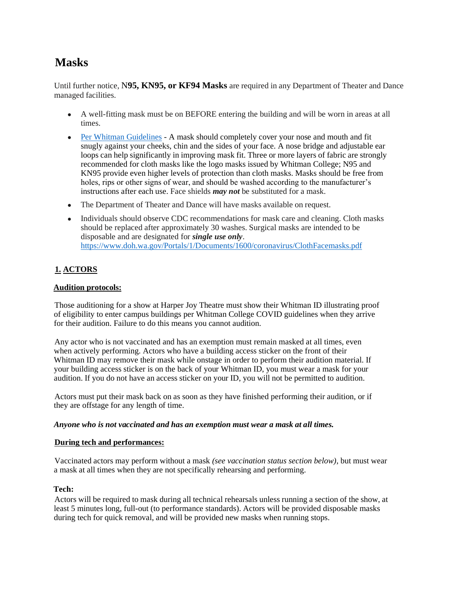# **Masks**

Until further notice, N**95, KN95, or KF94 Masks** are required in any Department of Theater and Dance managed facilities.

- A well-fitting mask must be on BEFORE entering the building and will be worn in areas at all times.
- Per Whitman Guidelines A mask should completely cover your nose and mouth and fit snugly against your cheeks, chin and the sides of your face. A nose bridge and adjustable ear loops can help significantly in improving mask fit. Three or more layers of fabric are strongly recommended for cloth masks like the logo masks issued by Whitman College; N95 and KN95 provide even higher levels of protection than cloth masks. Masks should be free from holes, rips or other signs of wear, and should be washed according to the manufacturer's instructions after each use. Face shields *may not* be substituted for a mask.
- The Department of Theater and Dance will have masks available on request.
- Individuals should observe CDC recommendations for mask care and cleaning. Cloth masks should be replaced after approximately 30 washes. Surgical masks are intended to be disposable and are designated for *single use only*. https:/[/www.doh.wa.gov/Portals/1/Documents/1600/coronavirus/ClothFacemasks.pdf](http://www.doh.wa.gov/Portals/1/Documents/1600/coronavirus/ClothFacemasks.pdf)

### **1. ACTORS**

#### **Audition protocols:**

Those auditioning for a show at Harper Joy Theatre must show their Whitman ID illustrating proof of eligibility to enter campus buildings per Whitman College COVID guidelines when they arrive for their audition. Failure to do this means you cannot audition.

Any actor who is not vaccinated and has an exemption must remain masked at all times, even when actively performing. Actors who have a building access sticker on the front of their Whitman ID may remove their mask while onstage in order to perform their audition material. If your building access sticker is on the back of your Whitman ID, you must wear a mask for your audition. If you do not have an access sticker on your ID, you will not be permitted to audition.

Actors must put their mask back on as soon as they have finished performing their audition, or if they are offstage for any length of time.

#### *Anyone who is not vaccinated and has an exemption must wear a mask at all times.*

#### **During tech and performances:**

Vaccinated actors may perform without a mask *(see vaccination status section below)*, but must wear a mask at all times when they are not specifically rehearsing and performing.

#### **Tech:**

Actors will be required to mask during all technical rehearsals unless running a section of the show, at least 5 minutes long, full-out (to performance standards). Actors will be provided disposable masks during tech for quick removal, and will be provided new masks when running stops.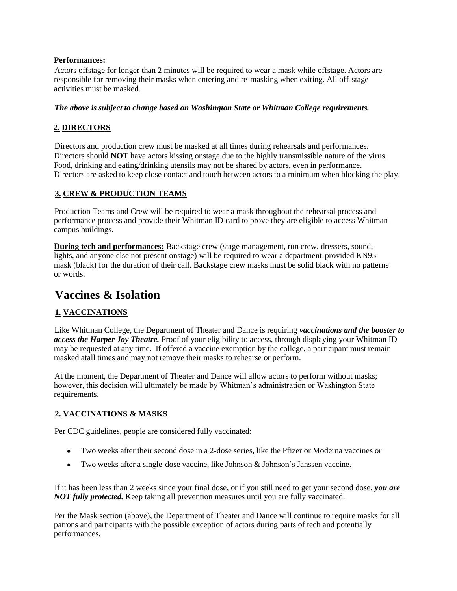#### **Performances:**

Actors offstage for longer than 2 minutes will be required to wear a mask while offstage. Actors are responsible for removing their masks when entering and re-masking when exiting. All off-stage activities must be masked.

#### *The above is subject to change based on Washington State or Whitman College requirements.*

### **2. DIRECTORS**

Directors and production crew must be masked at all times during rehearsals and performances. Directors should **NOT** have actors kissing onstage due to the highly transmissible nature of the virus. Food, drinking and eating/drinking utensils may not be shared by actors, even in performance. Directors are asked to keep close contact and touch between actors to a minimum when blocking the play.

### **3. CREW & PRODUCTION TEAMS**

Production Teams and Crew will be required to wear a mask throughout the rehearsal process and performance process and provide their Whitman ID card to prove they are eligible to access Whitman campus buildings.

**During tech and performances:** Backstage crew (stage management, run crew, dressers, sound, lights, and anyone else not present onstage) will be required to wear a department-provided KN95 mask (black) for the duration of their call. Backstage crew masks must be solid black with no patterns or words.

# **Vaccines & Isolation**

# **1. VACCINATIONS**

Like Whitman College, the Department of Theater and Dance is requiring *vaccinations and the booster to access the Harper Joy Theatre.* Proof of your eligibility to access, through displaying your Whitman ID may be requested at any time. If offered a vaccine exemption by the college, a participant must remain masked atall times and may not remove their masks to rehearse or perform.

At the moment, the Department of Theater and Dance will allow actors to perform without masks; however, this decision will ultimately be made by Whitman's administration or Washington State requirements.

### **2. VACCINATIONS & MASKS**

Per CDC guidelines, people are considered fully vaccinated:

- Two weeks after their second dose in a 2-dose series, like the Pfizer or Moderna vaccines or
- Two weeks after a single-dose vaccine, like Johnson & Johnson's Janssen vaccine.

If it has been less than 2 weeks since your final dose, or if you still need to get your second dose, *you are NOT fully protected.* Keep taking all prevention measures until you are fully vaccinated.

Per the Mask section (above), the Department of Theater and Dance will continue to require masks for all patrons and participants with the possible exception of actors during parts of tech and potentially performances.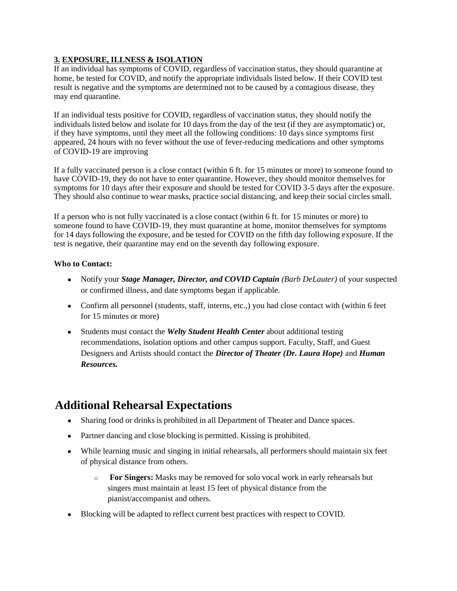# **3. EXPOSURE, ILLNESS & ISOLATION**

If an individual has symptoms of COVID, regardless of vaccination status, they should quarantine at home, be tested for COVID, and notify the appropriate individuals listed below. If their COVID test result is negative and the symptoms are determined not to be caused by a contagious disease, they may end quarantine.

If an individual tests positive for COVID, regardless of vaccination status, they should notify the individuals listed below and isolate for 10 days from the day of the test (if they are asymptomatic) or, if they have symptoms, until they meet all the following conditions: 10 days since symptoms first appeared, 24 hours with no fever without the use of fever-reducing medications and other symptoms of COVID-19 are improving

If a fully vaccinated person is a close contact (within 6 ft. for 15 minutes or more) to someone found to have COVID-19, they do not have to enter quarantine. However, they should monitor themselves for symptoms for 10 days after their exposure and should be tested for COVID 3-5 days after the exposure. They should also continue to wear masks, practice social distancing, and keep their social circles small.

If a person who is not fully vaccinated is a close contact (within 6 ft. for 15 minutes or more) to someone found to have COVID-19, they must quarantine at home, monitor themselves for symptoms for 14 days following the exposure, and be tested for COVID on the fifth day following exposure. If the test is negative, their quarantine may end on the seventh day following exposure.

### **Who to Contact:**

- Notify your *Stage Manager, Director, and COVID Captain (Barb DeLauter)* of your suspected or confirmed illness, and date symptoms began if applicable.
- Confirm all personnel (students, staff, interns, etc.,) you had close contact with (within 6 feet for 15 minutes or more)
- Students must contact the *Welty Student Health Center* about additional testing recommendations, isolation options and other campus support. Faculty, Staff, and Guest Designers and Artists should contact the *Director of Theater (Dr. Laura Hope)* and *Human Resources.*

# **Additional Rehearsal Expectations**

- Sharing food or drinks is prohibited in all Department of Theater and Dance spaces.
- Partner dancing and close blocking is permitted. Kissing is prohibited.
- While learning music and singing in initial rehearsals, all performers should maintain six feet of physical distance from others.
	- o **For Singers:** Masks may be removed for solo vocal work in early rehearsals but singers must maintain at least 15 feet of physical distance from the pianist/accompanist and others.
- Blocking will be adapted to reflect current best practices with respect to COVID.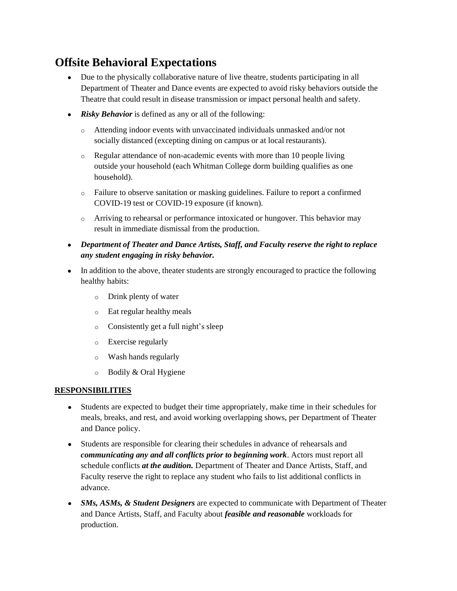# **Offsite Behavioral Expectations**

- **●** Due to the physically collaborative nature of live theatre, students participating in all Department of Theater and Dance events are expected to avoid risky behaviors outside the Theatre that could result in disease transmission or impact personal health and safety.
- **●** *Risky Behavior* is defined as any or all of the following:
	- o Attending indoor events with unvaccinated individuals unmasked and/or not socially distanced (excepting dining on campus or at local restaurants).
	- o Regular attendance of non-academic events with more than 10 people living outside your household (each Whitman College dorm building qualifies as one household).
	- o Failure to observe sanitation or masking guidelines. Failure to report a confirmed COVID-19 test or COVID-19 exposure (if known).
	- o Arriving to rehearsal or performance intoxicated or hungover. This behavior may result in immediate dismissal from the production.
- **●** *Department of Theater and Dance Artists, Staff, and Faculty reserve the right to replace any student engaging in risky behavior.*
- **●** In addition to the above, theater students are strongly encouraged to practice the following healthy habits:
	- o Drink plenty of water
	- o Eat regular healthy meals
	- o Consistently get a full night's sleep
	- o Exercise regularly
	- o Wash hands regularly
	- o Bodily & Oral Hygiene

#### **RESPONSIBILITIES**

- **●** Students are expected to budget their time appropriately, make time in their schedules for meals, breaks, and rest, and avoid working overlapping shows, per Department of Theater and Dance policy.
- **●** Students are responsible for clearing their schedules in advance of rehearsals and *communicating any and all conflicts prior to beginning work*. Actors must report all schedule conflicts *at the audition.* Department of Theater and Dance Artists, Staff, and Faculty reserve the right to replace any student who fails to list additional conflicts in advance.
- **●** *SMs, ASMs, & Student Designers* are expected to communicate with Department of Theater and Dance Artists, Staff, and Faculty about *feasible and reasonable* workloads for production.